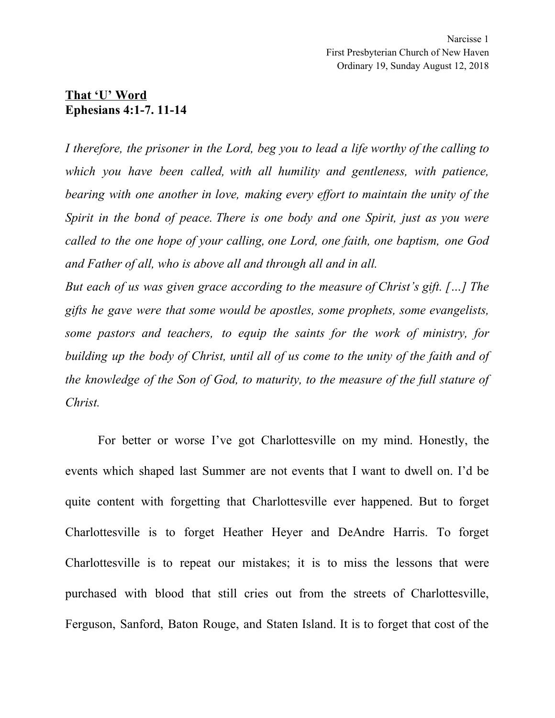## **That 'U' Word Ephesians 4:1-7. 11-14**

*I therefore, the prisoner in the Lord, beg you to lead a life worthy of the calling to which you have been called, with all humility and gentleness, with patience, bearing with one another in love, making every ef ort to maintain the unity of the Spirit in the bond of peace. There is one body and one Spirit, just as you were called to the one hope of your calling, one Lord, one faith, one baptism, one God and Father of all, who is above all and through all and in all.*

*But each of us was given grace according to the measure of Christ's gift. […] The gifts he gave were that some would be apostles, some prophets, some evangelists, some pastors and teachers, to equip the saints for the work of ministry, for building up the body of Christ, until all of us come to the unity of the faith and of the knowledge of the Son of God, to maturity, to the measure of the full stature of Christ.*

For better or worse I've got Charlottesville on my mind. Honestly, the events which shaped last Summer are not events that I want to dwell on. I'd be quite content with forgetting that Charlottesville ever happened. But to forget Charlottesville is to forget Heather Heyer and DeAndre Harris. To forget Charlottesville is to repeat our mistakes; it is to miss the lessons that were purchased with blood that still cries out from the streets of Charlottesville, Ferguson, Sanford, Baton Rouge, and Staten Island. It is to forget that cost of the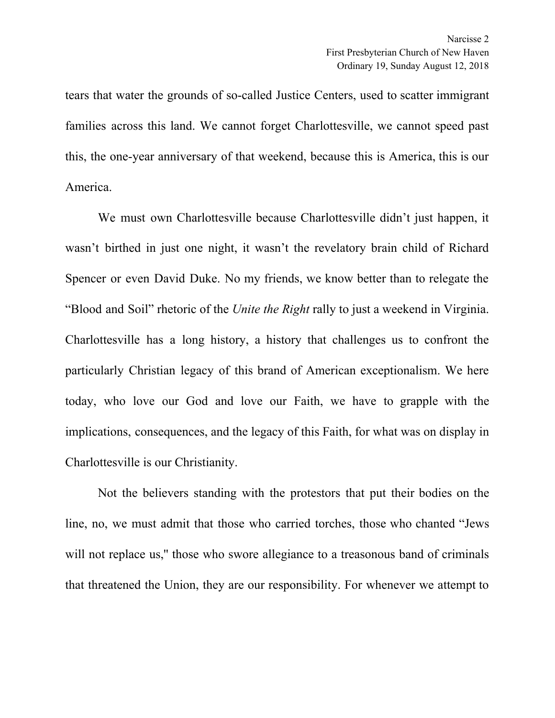tears that water the grounds of so-called Justice Centers, used to scatter immigrant families across this land. We cannot forget Charlottesville, we cannot speed past this, the one-year anniversary of that weekend, because this is America, this is our America.

We must own Charlottesville because Charlottesville didn't just happen, it wasn't birthed in just one night, it wasn't the revelatory brain child of Richard Spencer or even David Duke. No my friends, we know better than to relegate the "Blood and Soil" rhetoric of the *Unite the Right* rally to just a weekend in Virginia. Charlottesville has a long history, a history that challenges us to confront the particularly Christian legacy of this brand of American exceptionalism. We here today, who love our God and love our Faith, we have to grapple with the implications, consequences, and the legacy of this Faith, for what was on display in Charlottesville is our Christianity.

Not the believers standing with the protestors that put their bodies on the line, no, we must admit that those who carried torches, those who chanted "Jews will not replace us," those who swore allegiance to a treasonous band of criminals that threatened the Union, they are our responsibility. For whenever we attempt to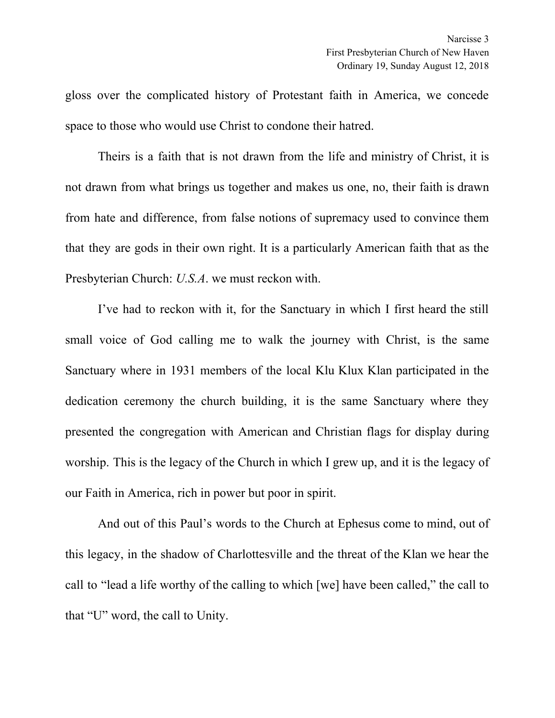gloss over the complicated history of Protestant faith in America, we concede space to those who would use Christ to condone their hatred.

Theirs is a faith that is not drawn from the life and ministry of Christ, it is not drawn from what brings us together and makes us one, no, their faith is drawn from hate and difference, from false notions of supremacy used to convince them that they are gods in their own right. It is a particularly American faith that as the Presbyterian Church: *U.S.A*. we must reckon with.

I've had to reckon with it, for the Sanctuary in which I first heard the still small voice of God calling me to walk the journey with Christ, is the same Sanctuary where in 1931 members of the local Klu Klux Klan participated in the dedication ceremony the church building, it is the same Sanctuary where they presented the congregation with American and Christian flags for display during worship. This is the legacy of the Church in which I grew up, and it is the legacy of our Faith in America, rich in power but poor in spirit.

And out of this Paul's words to the Church at Ephesus come to mind, out of this legacy, in the shadow of Charlottesville and the threat of the Klan we hear the call to "lead a life worthy of the calling to which [we] have been called," the call to that "U" word, the call to Unity.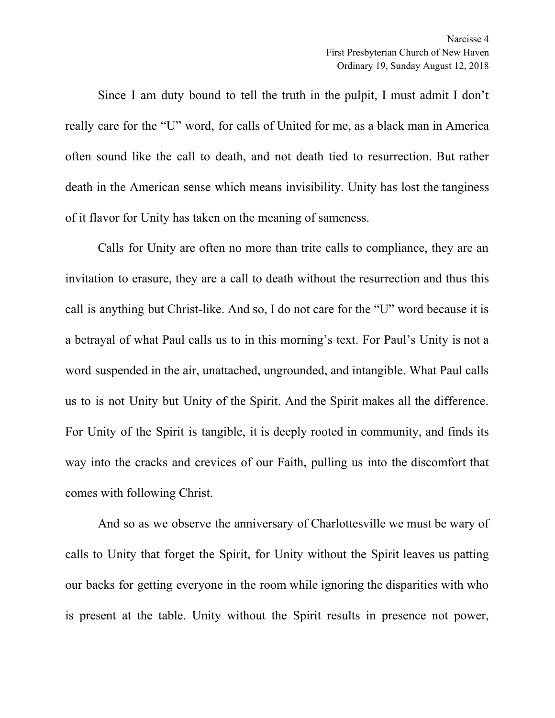Since I am duty bound to tell the truth in the pulpit, I must admit I don't really care for the "U" word, for calls of United for me, as a black man in America often sound like the call to death, and not death tied to resurrection. But rather death in the American sense which means invisibility. Unity has lost the tanginess of it flavor for Unity has taken on the meaning of sameness.

Calls for Unity are often no more than trite calls to compliance, they are an invitation to erasure, they are a call to death without the resurrection and thus this call is anything but Christ-like. And so, I do not care for the "U" word because it is a betrayal of what Paul calls us to in this morning's text. For Paul's Unity is not a word suspended in the air, unattached, ungrounded, and intangible. What Paul calls us to is not Unity but Unity of the Spirit. And the Spirit makes all the difference. For Unity of the Spirit is tangible, it is deeply rooted in community, and finds its way into the cracks and crevices of our Faith, pulling us into the discomfort that comes with following Christ.

And so as we observe the anniversary of Charlottesville we must be wary of calls to Unity that forget the Spirit, for Unity without the Spirit leaves us patting our backs for getting everyone in the room while ignoring the disparities with who is present at the table. Unity without the Spirit results in presence not power,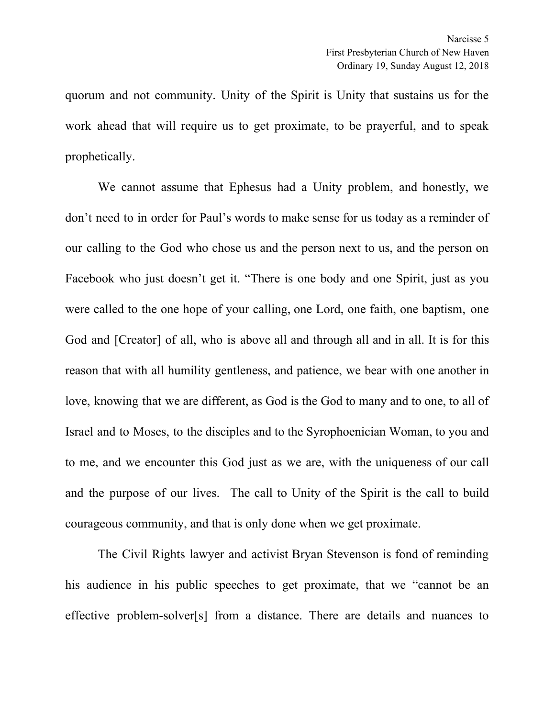quorum and not community. Unity of the Spirit is Unity that sustains us for the work ahead that will require us to get proximate, to be prayerful, and to speak prophetically.

We cannot assume that Ephesus had a Unity problem, and honestly, we don't need to in order for Paul's words to make sense for us today as a reminder of our calling to the God who chose us and the person next to us, and the person on Facebook who just doesn't get it. "There is one body and one Spirit, just as you were called to the one hope of your calling, one Lord, one faith, one baptism, one God and [Creator] of all, who is above all and through all and in all. It is for this reason that with all humility gentleness, and patience, we bear with one another in love, knowing that we are different, as God is the God to many and to one, to all of Israel and to Moses, to the disciples and to the Syrophoenician Woman, to you and to me, and we encounter this God just as we are, with the uniqueness of our call and the purpose of our lives. The call to Unity of the Spirit is the call to build courageous community, and that is only done when we get proximate.

The Civil Rights lawyer and activist Bryan Stevenson is fond of reminding his audience in his public speeches to get proximate, that we "cannot be an effective problem-solver[s] from a distance. There are details and nuances to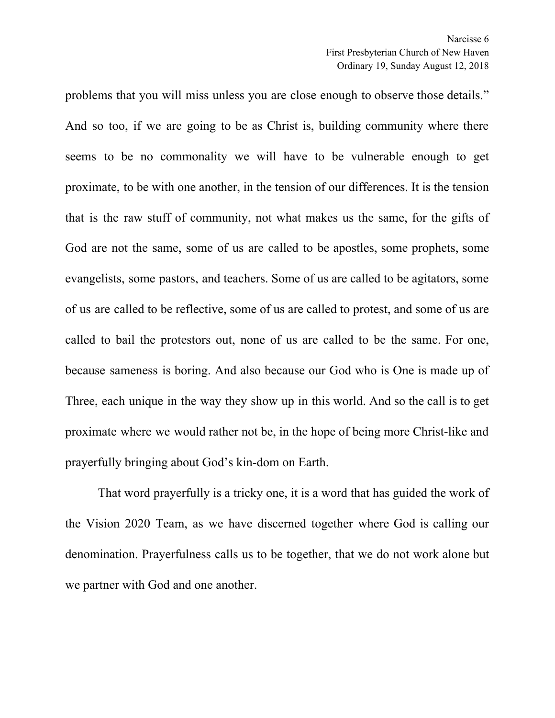problems that you will miss unless you are close enough to observe those details." And so too, if we are going to be as Christ is, building community where there seems to be no commonality we will have to be vulnerable enough to get proximate, to be with one another, in the tension of our differences. It is the tension that is the raw stuff of community, not what makes us the same, for the gifts of God are not the same, some of us are called to be apostles, some prophets, some evangelists, some pastors, and teachers. Some of us are called to be agitators, some of us are called to be reflective, some of us are called to protest, and some of us are called to bail the protestors out, none of us are called to be the same. For one, because sameness is boring. And also because our God who is One is made up of Three, each unique in the way they show up in this world. And so the call is to get proximate where we would rather not be, in the hope of being more Christ-like and prayerfully bringing about God's kin-dom on Earth.

That word prayerfully is a tricky one, it is a word that has guided the work of the Vision 2020 Team, as we have discerned together where God is calling our denomination. Prayerfulness calls us to be together, that we do not work alone but we partner with God and one another.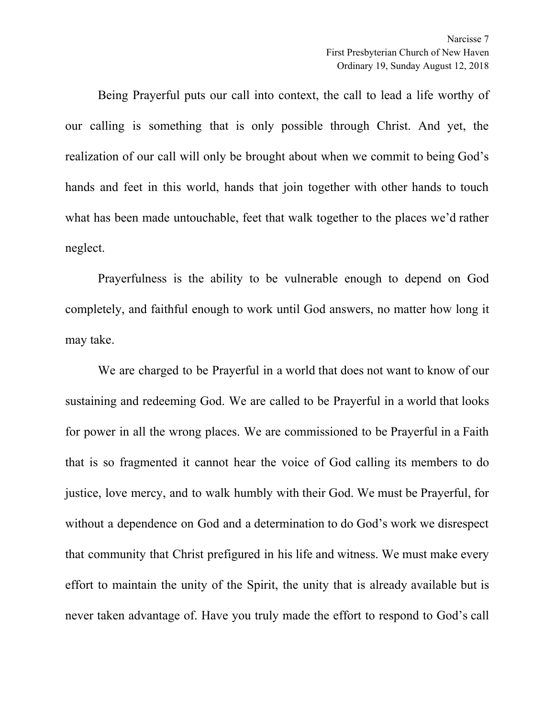Being Prayerful puts our call into context, the call to lead a life worthy of our calling is something that is only possible through Christ. And yet, the realization of our call will only be brought about when we commit to being God's hands and feet in this world, hands that join together with other hands to touch what has been made untouchable, feet that walk together to the places we'd rather neglect.

Prayerfulness is the ability to be vulnerable enough to depend on God completely, and faithful enough to work until God answers, no matter how long it may take.

We are charged to be Prayerful in a world that does not want to know of our sustaining and redeeming God. We are called to be Prayerful in a world that looks for power in all the wrong places. We are commissioned to be Prayerful in a Faith that is so fragmented it cannot hear the voice of God calling its members to do justice, love mercy, and to walk humbly with their God. We must be Prayerful, for without a dependence on God and a determination to do God's work we disrespect that community that Christ prefigured in his life and witness. We must make every effort to maintain the unity of the Spirit, the unity that is already available but is never taken advantage of. Have you truly made the effort to respond to God's call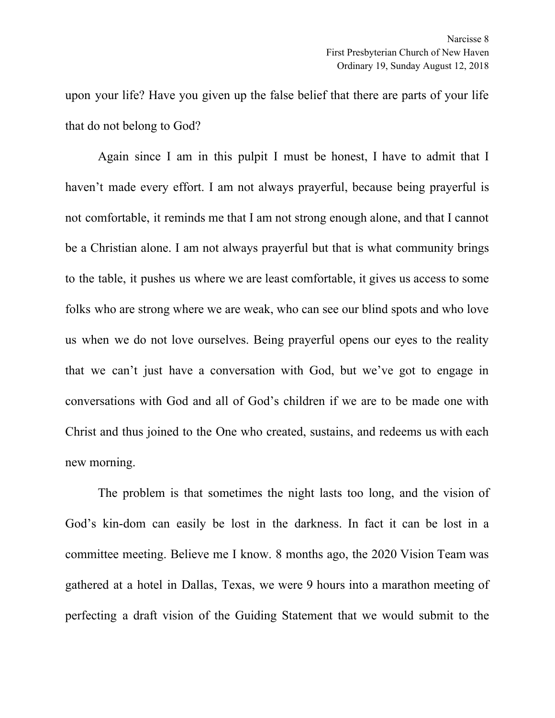upon your life? Have you given up the false belief that there are parts of your life that do not belong to God?

Again since I am in this pulpit I must be honest, I have to admit that I haven't made every effort. I am not always prayerful, because being prayerful is not comfortable, it reminds me that I am not strong enough alone, and that I cannot be a Christian alone. I am not always prayerful but that is what community brings to the table, it pushes us where we are least comfortable, it gives us access to some folks who are strong where we are weak, who can see our blind spots and who love us when we do not love ourselves. Being prayerful opens our eyes to the reality that we can't just have a conversation with God, but we've got to engage in conversations with God and all of God's children if we are to be made one with Christ and thus joined to the One who created, sustains, and redeems us with each new morning.

The problem is that sometimes the night lasts too long, and the vision of God's kin-dom can easily be lost in the darkness. In fact it can be lost in a committee meeting. Believe me I know. 8 months ago, the 2020 Vision Team was gathered at a hotel in Dallas, Texas, we were 9 hours into a marathon meeting of perfecting a draft vision of the Guiding Statement that we would submit to the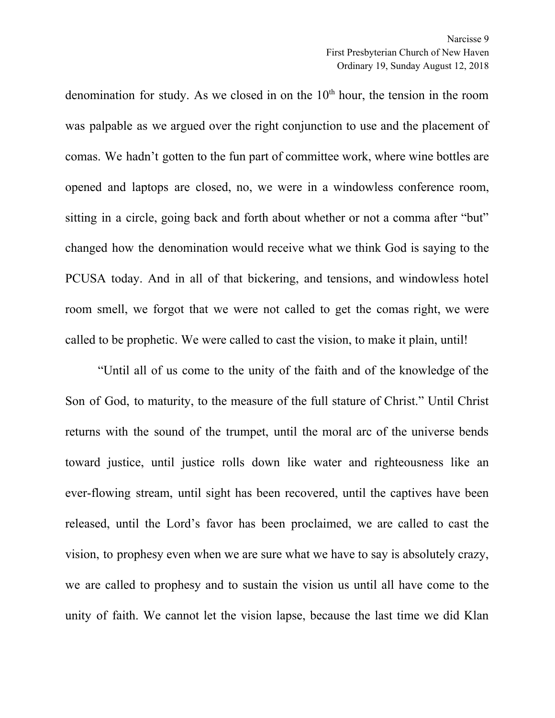denomination for study. As we closed in on the  $10<sup>th</sup>$  hour, the tension in the room was palpable as we argued over the right conjunction to use and the placement of comas. We hadn't gotten to the fun part of committee work, where wine bottles are opened and laptops are closed, no, we were in a windowless conference room, sitting in a circle, going back and forth about whether or not a comma after "but" changed how the denomination would receive what we think God is saying to the PCUSA today. And in all of that bickering, and tensions, and windowless hotel room smell, we forgot that we were not called to get the comas right, we were called to be prophetic. We were called to cast the vision, to make it plain, until!

"Until all of us come to the unity of the faith and of the knowledge of the Son of God, to maturity, to the measure of the full stature of Christ." Until Christ returns with the sound of the trumpet, until the moral arc of the universe bends toward justice, until justice rolls down like water and righteousness like an ever-flowing stream, until sight has been recovered, until the captives have been released, until the Lord's favor has been proclaimed, we are called to cast the vision, to prophesy even when we are sure what we have to say is absolutely crazy, we are called to prophesy and to sustain the vision us until all have come to the unity of faith. We cannot let the vision lapse, because the last time we did Klan